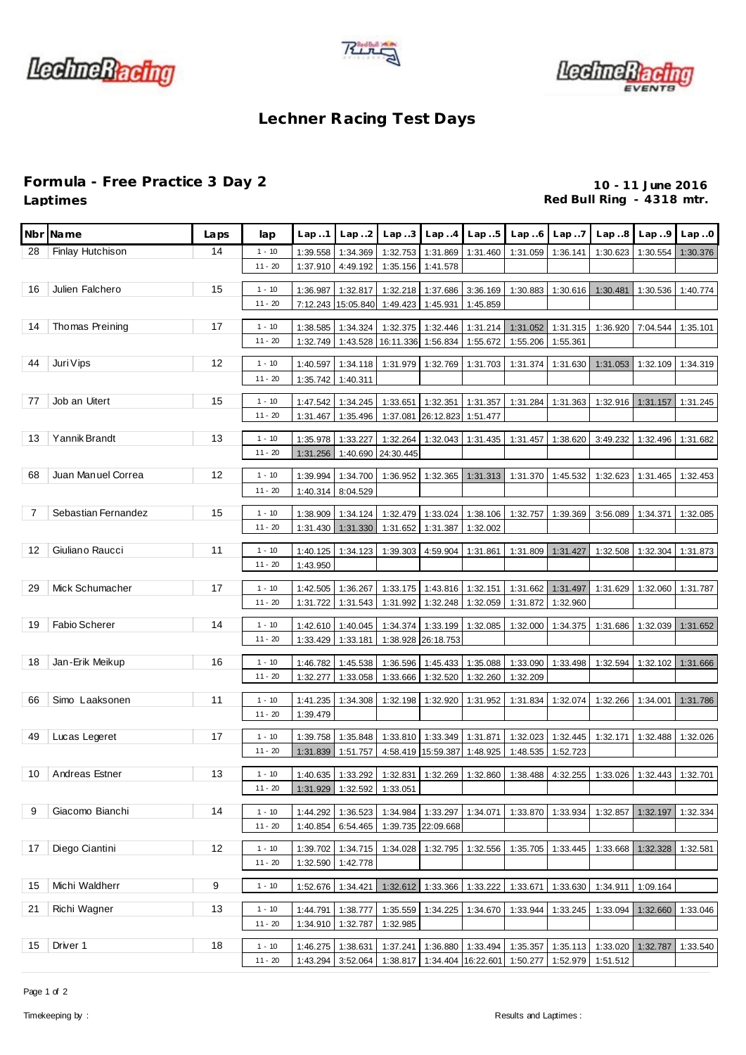





## **Lechner Racing Test Days**

## **Formula - Free Practice 3 Day 2 10 - 11 June 2016**

Red Bull Ring - 4318 mtr.

| Nbr l | Name                | Laps | lap                   | Lap.1                | Lap.2                | Lap.3                 | Lap.4                | Lap.5                | Lap.6                                                  | Lap.7                | Lap.8                                                                   | Lap.9    | Lap.0    |
|-------|---------------------|------|-----------------------|----------------------|----------------------|-----------------------|----------------------|----------------------|--------------------------------------------------------|----------------------|-------------------------------------------------------------------------|----------|----------|
| 28    | Finlay Hutchison    | 14   | $1 - 10$              | 1:39.558             | 1:34.369             | 1:32.753              | 1:31.869             | 1:31.460             | 1:31.059                                               | 1:36.141             | 1:30.623                                                                | 1:30.554 | 1:30.376 |
|       |                     |      | $11 - 20$             | 1:37.910             | 4:49.192             | 1:35.156              | 1:41.578             |                      |                                                        |                      |                                                                         |          |          |
| 16    | Julien Falchero     | 15   | $1 - 10$              | 1:36.987             | 1:32.817             | 1:32.218              | 1:37.686             | 3:36.169             | 1:30.883                                               | 1:30.616             | 1:30.481                                                                | 1:30.536 | 1:40.774 |
|       |                     |      | $11 - 20$             | 7:12.243             | 15:05.840            | 1:49.423              | 1:45.931             | 1:45.859             |                                                        |                      |                                                                         |          |          |
|       |                     |      |                       |                      |                      |                       |                      |                      |                                                        |                      |                                                                         |          |          |
| 14    | Thomas Preining     | 17   | $1 - 10$<br>$11 - 20$ | 1:38.585<br>1:32.749 | 1:34.324<br>1:43.528 | 1:32.375<br>16:11.336 | 1:32.446<br>1:56.834 | 1:31.214<br>1:55.672 | 1:31.052<br>1:55.206                                   | 1:31.315<br>1:55.361 | 1:36.920                                                                | 7:04.544 | 1:35.101 |
|       |                     |      |                       |                      |                      |                       |                      |                      |                                                        |                      |                                                                         |          |          |
| 44    | Juri Vips           | 12   | $1 - 10$              | 1:40.597             | 1:34.118             | 1:31.979              | 1:32.769             | 1:31.703             | 1:31.374                                               | 1:31.630             | 1:31.053                                                                | 1:32.109 | 1:34.319 |
|       |                     |      | $11 - 20$             | 1:35.742             | 1:40.311             |                       |                      |                      |                                                        |                      |                                                                         |          |          |
| 77    | Job an Uitert       | 15   | $1 - 10$              | 1:47.542             | 1:34.245             | 1:33.651              | 1:32.351             | 1:31.357             | 1:31.284                                               | 1:31.363             | 1:32.916                                                                | 1:31.157 | 1:31.245 |
|       |                     |      | $11 - 20$             | 1:31.467             | 1:35.496             | 1:37.081              | 26:12.823            | 1:51.477             |                                                        |                      |                                                                         |          |          |
| 13    | Yannik Brandt       | 13   | $1 - 10$              | 1:35.978             | 1:33.227             | 1:32.264              | 1:32.043             | 1:31.435             | 1:31.457                                               | 1:38.620             | 3:49.232                                                                | 1:32.496 | 1:31.682 |
|       |                     |      | $11 - 20$             | 1:31.256             | 1:40.690             | 24:30.445             |                      |                      |                                                        |                      |                                                                         |          |          |
| 68    | Juan Manuel Correa  | 12   | $1 - 10$              | 1:39.994             | 1:34.700             | 1:36.952              | 1:32.365             | 1:31.313             | 1:31.370                                               |                      |                                                                         | 1:31.465 | 1:32.453 |
|       |                     |      | $11 - 20$             | 1:40.314             | 8:04.529             |                       |                      |                      |                                                        | 1:45.532             | 1:32.623                                                                |          |          |
|       |                     |      |                       |                      |                      |                       |                      |                      |                                                        |                      |                                                                         |          |          |
| 7     | Sebastian Fernandez | 15   | $1 - 10$              | 1:38.909             | 1:34.124             | 1:32.479              | 1:33.024             | 1:38.106             | 1:32.757                                               | 1:39.369             | 3:56.089                                                                | 1:34.371 | 1:32.085 |
|       |                     |      | $11 - 20$             | 1:31.430             | 1:31.330             | 1:31.652              | 1:31.387             | 1:32.002             |                                                        |                      |                                                                         |          |          |
| 12    | Giuliano Raucci     | 11   | $1 - 10$              | 1:40.125             | 1:34.123             | 1:39.303              | 4:59.904             | 1:31.861             | 1:31.809                                               | 1:31.427             | 1:32.508                                                                | 1:32.304 | 1:31.873 |
|       |                     |      | $11 - 20$             | 1:43.950             |                      |                       |                      |                      |                                                        |                      |                                                                         |          |          |
| 29    | Mick Schumacher     | 17   | $1 - 10$              | 1:42.505             | 1:36.267             | 1:33.175              | 1:43.816             | 1:32.151             | 1:31.662                                               | 1:31.497             | 1:31.629                                                                | 1:32.060 | 1:31.787 |
|       |                     |      | $11 - 20$             | 1:31.722             | 1:31.543             | 1:31.992              | 1:32.248             | 1:32.059             | 1:31.872                                               | 1:32.960             |                                                                         |          |          |
| 19    | Fabio Scherer       | 14   | $1 - 10$              | 1:42.610             | 1:40.045             | 1:34.374              | 1:33.199             | 1:32.085             | 1:32.000                                               | 1:34.375             | 1:31.686                                                                | 1:32.039 |          |
|       |                     |      | $11 - 20$             | 1:33.429             | 1:33.181             | 1:38.928              | 26:18.753            |                      |                                                        |                      |                                                                         |          | 1:31.652 |
|       |                     |      |                       |                      |                      |                       |                      |                      |                                                        |                      |                                                                         |          |          |
| 18    | Jan-Erik Meikup     | 16   | $1 - 10$              | 1:46.782             | 1:45.538             | 1:36.596              | 1:45.433             | 1:35.088             | 1:33.090                                               | 1:33.498             | 1:32.594                                                                | 1:32.102 | 1:31.666 |
|       |                     |      | $11 - 20$             | 1:32.277             | 1:33.058             | 1:33.666              | 1:32.520             | 1:32.260             | 1:32.209                                               |                      |                                                                         |          |          |
| 66    | Simo Laaksonen      | 11   | $1 - 10$              | 1:41.235             | 1:34.308             | 1:32.198              | 1:32.920             | 1:31.952             | 1:31.834                                               | 1:32.074             | 1:32.266                                                                | 1:34.001 | 1:31.786 |
|       |                     |      | $11 - 20$             | 1:39.479             |                      |                       |                      |                      |                                                        |                      |                                                                         |          |          |
| 49    | Lucas Legeret       | 17   | $1 - 10$              | 1:39.758             | 1:35.848             | 1:33.810              | 1:33.349             | 1:31.871             | 1:32.023                                               | 1:32.445             | 1:32.171                                                                | 1:32.488 | 1:32.026 |
|       |                     |      | $11 - 20$             | 1:31.839             | 1:51.757             |                       | 4:58.419 15:59.387   | 1:48.925             | 1:48.535                                               | 1:52.723             |                                                                         |          |          |
| 10    | Andreas Estner      | 13   | $1 - 10$              |                      | 1:40.635 1:33.292    |                       |                      |                      |                                                        |                      | 1:32.831 1:32.269 1:32.860 1:38.488 4:32.255 1:33.026 1:32.443 1:32.701 |          |          |
|       |                     |      | $11 - 20$             | 1:31.929             | 1:32.592             | 1:33.051              |                      |                      |                                                        |                      |                                                                         |          |          |
|       |                     |      |                       |                      |                      |                       |                      |                      |                                                        |                      |                                                                         |          |          |
| 9     | Giacomo Bianchi     | 14   | $1 - 10$              | 1:44.292             | 1:36.523             |                       | 1:34.984 1:33.297    | 1:34.071             | 1:33.870                                               | 1:33.934             | 1:32.857                                                                | 1:32.197 | 1:32.334 |
|       |                     |      | $11 - 20$             | 1:40.854             | 6:54.465             |                       | 1:39.735 22:09.668   |                      |                                                        |                      |                                                                         |          |          |
| 17    | Diego Ciantini      | 12   | $1 - 10$              | 1:39.702             | 1:34.715             | 1:34.028              | 1:32.795             | 1:32.556             | 1:35.705                                               | 1:33.445             | 1:33.668                                                                | 1:32.328 | 1:32.581 |
|       |                     |      | $11 - 20$             | 1:32.590             | 1:42.778             |                       |                      |                      |                                                        |                      |                                                                         |          |          |
| 15    | Michi Waldherr      | 9    | $1 - 10$              | 1:52.676             | 1:34.421             | 1:32.612              | 1:33.366             | 1:33.222             | 1:33.671                                               | 1:33.630             | 1:34.911                                                                | 1:09.164 |          |
| 21    |                     | 13   |                       |                      |                      |                       |                      |                      |                                                        |                      |                                                                         |          |          |
|       | Richi Wagner        |      | $1 - 10$<br>$11 - 20$ | 1:44.791<br>1:34.910 | 1:38.777<br>1:32.787 | 1:35.559<br>1:32.985  | 1:34.225             | 1:34.670             | 1:33.944                                               | 1:33.245             | 1:33.094                                                                | 1:32.660 | 1:33.046 |
|       |                     |      |                       |                      |                      |                       |                      |                      |                                                        |                      |                                                                         |          |          |
| 15    | Driver 1            | 18   | $1 - 10$              | 1:46.275             | 1:38.631             | 1:37.241              |                      | 1:36.880 1:33.494    | 1:35.357                                               |                      | 1:35.113 1:33.020 1:32.787                                              |          | 1:33.540 |
|       |                     |      | $11 - 20$             | 1:43.294             | 3:52.064             |                       |                      |                      | 1:38.817 1:34.404 16:22.601 1:50.277 1:52.979 1:51.512 |                      |                                                                         |          |          |